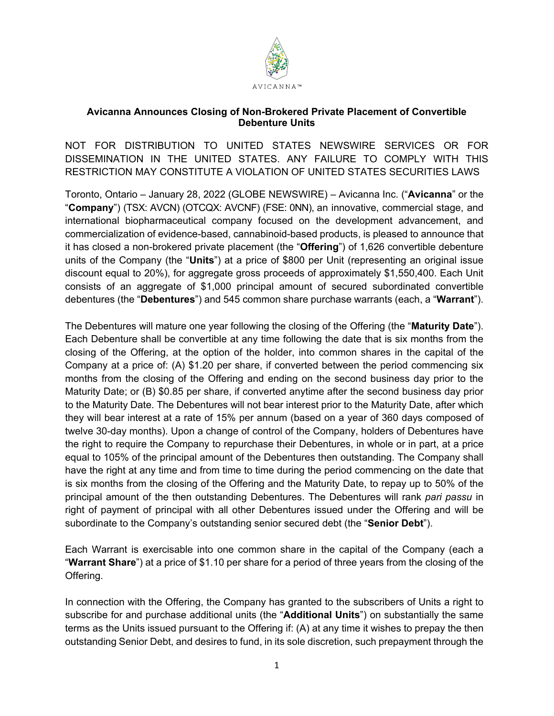

## **Avicanna Announces Closing of Non-Brokered Private Placement of Convertible Debenture Units**

NOT FOR DISTRIBUTION TO UNITED STATES NEWSWIRE SERVICES OR FOR DISSEMINATION IN THE UNITED STATES. ANY FAILURE TO COMPLY WITH THIS RESTRICTION MAY CONSTITUTE A VIOLATION OF UNITED STATES SECURITIES LAWS

Toronto, Ontario – January 28, 2022 (GLOBE NEWSWIRE) – Avicanna Inc. ("**Avicanna**" or the "**Company**") (TSX: AVCN) (OTCQX: AVCNF) (FSE: 0NN), an innovative, commercial stage, and international biopharmaceutical company focused on the development advancement, and commercialization of evidence-based, cannabinoid-based products, is pleased to announce that it has closed a non-brokered private placement (the "**Offering**") of 1,626 convertible debenture units of the Company (the "**Units**") at a price of \$800 per Unit (representing an original issue discount equal to 20%), for aggregate gross proceeds of approximately \$1,550,400. Each Unit consists of an aggregate of \$1,000 principal amount of secured subordinated convertible debentures (the "**Debentures**") and 545 common share purchase warrants (each, a "**Warrant**").

The Debentures will mature one year following the closing of the Offering (the "**Maturity Date**"). Each Debenture shall be convertible at any time following the date that is six months from the closing of the Offering, at the option of the holder, into common shares in the capital of the Company at a price of: (A) \$1.20 per share, if converted between the period commencing six months from the closing of the Offering and ending on the second business day prior to the Maturity Date; or (B) \$0.85 per share, if converted anytime after the second business day prior to the Maturity Date. The Debentures will not bear interest prior to the Maturity Date, after which they will bear interest at a rate of 15% per annum (based on a year of 360 days composed of twelve 30-day months). Upon a change of control of the Company, holders of Debentures have the right to require the Company to repurchase their Debentures, in whole or in part, at a price equal to 105% of the principal amount of the Debentures then outstanding. The Company shall have the right at any time and from time to time during the period commencing on the date that is six months from the closing of the Offering and the Maturity Date, to repay up to 50% of the principal amount of the then outstanding Debentures. The Debentures will rank *pari passu* in right of payment of principal with all other Debentures issued under the Offering and will be subordinate to the Company's outstanding senior secured debt (the "**Senior Debt**").

Each Warrant is exercisable into one common share in the capital of the Company (each a "**Warrant Share**") at a price of \$1.10 per share for a period of three years from the closing of the Offering.

In connection with the Offering, the Company has granted to the subscribers of Units a right to subscribe for and purchase additional units (the "**Additional Units**") on substantially the same terms as the Units issued pursuant to the Offering if: (A) at any time it wishes to prepay the then outstanding Senior Debt, and desires to fund, in its sole discretion, such prepayment through the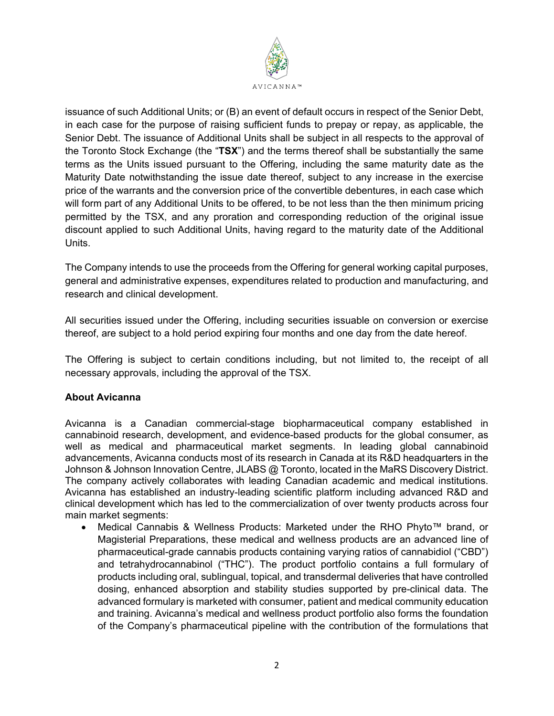

issuance of such Additional Units; or (B) an event of default occurs in respect of the Senior Debt, in each case for the purpose of raising sufficient funds to prepay or repay, as applicable, the Senior Debt. The issuance of Additional Units shall be subject in all respects to the approval of the Toronto Stock Exchange (the "**TSX**") and the terms thereof shall be substantially the same terms as the Units issued pursuant to the Offering, including the same maturity date as the Maturity Date notwithstanding the issue date thereof, subject to any increase in the exercise price of the warrants and the conversion price of the convertible debentures, in each case which will form part of any Additional Units to be offered, to be not less than the then minimum pricing permitted by the TSX, and any proration and corresponding reduction of the original issue discount applied to such Additional Units, having regard to the maturity date of the Additional Units.

The Company intends to use the proceeds from the Offering for general working capital purposes, general and administrative expenses, expenditures related to production and manufacturing, and research and clinical development.

All securities issued under the Offering, including securities issuable on conversion or exercise thereof, are subject to a hold period expiring four months and one day from the date hereof.

The Offering is subject to certain conditions including, but not limited to, the receipt of all necessary approvals, including the approval of the TSX.

## **About Avicanna**

Avicanna is a Canadian commercial-stage biopharmaceutical company established in cannabinoid research, development, and evidence-based products for the global consumer, as well as medical and pharmaceutical market segments. In leading global cannabinoid advancements, Avicanna conducts most of its research in Canada at its R&D headquarters in the Johnson & Johnson Innovation Centre, JLABS @ Toronto, located in the MaRS Discovery District. The company actively collaborates with leading Canadian academic and medical institutions. Avicanna has established an industry-leading scientific platform including advanced R&D and clinical development which has led to the commercialization of over twenty products across four main market segments:

• Medical Cannabis & Wellness Products: Marketed under the RHO Phyto™ brand, or Magisterial Preparations, these medical and wellness products are an advanced line of pharmaceutical-grade cannabis products containing varying ratios of cannabidiol ("CBD") and tetrahydrocannabinol ("THC"). The product portfolio contains a full formulary of products including oral, sublingual, topical, and transdermal deliveries that have controlled dosing, enhanced absorption and stability studies supported by pre-clinical data. The advanced formulary is marketed with consumer, patient and medical community education and training. Avicanna's medical and wellness product portfolio also forms the foundation of the Company's pharmaceutical pipeline with the contribution of the formulations that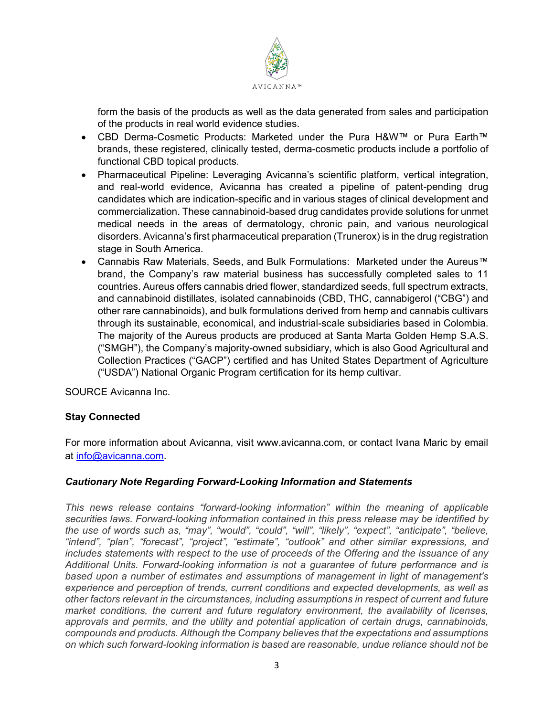

form the basis of the products as well as the data generated from sales and participation of the products in real world evidence studies.

- CBD Derma-Cosmetic Products: Marketed under the Pura H&W™ or Pura Earth™ brands, these registered, clinically tested, derma-cosmetic products include a portfolio of functional CBD topical products.
- Pharmaceutical Pipeline: Leveraging Avicanna's scientific platform, vertical integration, and real-world evidence, Avicanna has created a pipeline of patent-pending drug candidates which are indication-specific and in various stages of clinical development and commercialization. These cannabinoid-based drug candidates provide solutions for unmet medical needs in the areas of dermatology, chronic pain, and various neurological disorders. Avicanna's first pharmaceutical preparation (Trunerox) is in the drug registration stage in South America.
- Cannabis Raw Materials, Seeds, and Bulk Formulations: Marketed under the Aureus™ brand, the Company's raw material business has successfully completed sales to 11 countries. Aureus offers cannabis dried flower, standardized seeds, full spectrum extracts, and cannabinoid distillates, isolated cannabinoids (CBD, THC, cannabigerol ("CBG") and other rare cannabinoids), and bulk formulations derived from hemp and cannabis cultivars through its sustainable, economical, and industrial-scale subsidiaries based in Colombia. The majority of the Aureus products are produced at Santa Marta Golden Hemp S.A.S. ("SMGH"), the Company's majority-owned subsidiary, which is also Good Agricultural and Collection Practices ("GACP") certified and has United States Department of Agriculture ("USDA") National Organic Program certification for its hemp cultivar.

SOURCE Avicanna Inc.

## **Stay Connected**

For more information about Avicanna, visit www.avicanna.com, or contact Ivana Maric by email at [info@avicanna.com.](mailto:info@avicanna.com)

## *Cautionary Note Regarding Forward-Looking Information and Statements*

*This news release contains "forward-looking information" within the meaning of applicable securities laws. Forward-looking information contained in this press release may be identified by the use of words such as, "may", "would", "could", "will", "likely", "expect", "anticipate", "believe, "intend", "plan", "forecast", "project", "estimate", "outlook" and other similar expressions, and includes statements with respect to the use of proceeds of the Offering and the issuance of any Additional Units. Forward-looking information is not a guarantee of future performance and is based upon a number of estimates and assumptions of management in light of management's experience and perception of trends, current conditions and expected developments, as well as other factors relevant in the circumstances, including assumptions in respect of current and future market conditions, the current and future regulatory environment, the availability of licenses, approvals and permits, and the utility and potential application of certain drugs, cannabinoids, compounds and products. Although the Company believes that the expectations and assumptions on which such forward-looking information is based are reasonable, undue reliance should not be*